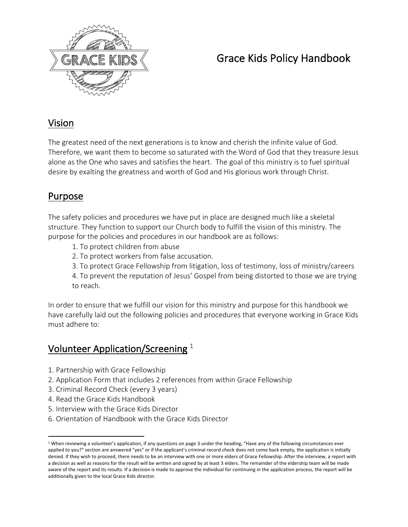

# Grace Kids Policy Handbook

### Vision

The greatest need of the next generations is to know and cherish the infinite value of God. Therefore, we want them to become so saturated with the Word of God that they treasure Jesus alone as the One who saves and satisfies the heart. The goal of this ministry is to fuel spiritual desire by exalting the greatness and worth of God and His glorious work through Christ.

### Purpose

The safety policies and procedures we have put in place are designed much like a skeletal structure. They function to support our Church body to fulfill the vision of this ministry. The purpose for the policies and procedures in our handbook are as follows:

- 1. To protect children from abuse
- 2. To protect workers from false accusation.
- 3. To protect Grace Fellowship from litigation, loss of testimony, loss of ministry/careers
- 4. To prevent the reputation of Jesus' Gospel from being distorted to those we are trying to reach.

In order to ensure that we fulfill our vision for this ministry and purpose for this handbook we have carefully laid out the following policies and procedures that everyone working in Grace Kids must adhere to:

# Volunteer Application/Screening <sup>1</sup>

- 1. Partnership with Grace Fellowship
- 2. Application Form that includes 2 references from within Grace Fellowship
- 3. Criminal Record Check (every 3 years)
- 4. Read the Grace Kids Handbook
- 5. Interview with the Grace Kids Director
- 6. Orientation of Handbook with the Grace Kids Director

 $1$  When reviewing a volunteer's application, if any questions on page 3 under the heading, "Have any of the following circumstances ever applied to you?" section are answered "yes" or if the applicant's criminal record check does not come back empty, the application is initially denied. If they wish to proceed, there needs to be an interview with one or more elders of Grace Fellowship. After the interview, a report with a decision as well as reasons for the result will be written and signed by at least 3 elders. The remainder of the eldership team will be made aware of the report and its results. If a decision is made to approve the individual for continuing in the application process, the report will be additionally given to the local Grace Kids director.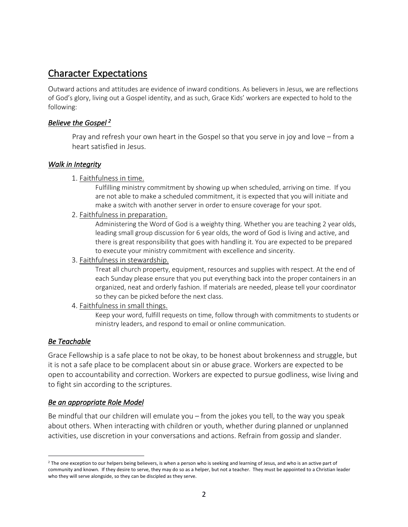### Character Expectations

Outward actions and attitudes are evidence of inward conditions. As believers in Jesus, we are reflections of God's glory, living out a Gospel identity, and as such, Grace Kids' workers are expected to hold to the following:

#### *Believe the Gospel 2*

Pray and refresh your own heart in the Gospel so that you serve in joy and love – from a heart satisfied in Jesus.

#### *Walk in Integrity*

1. Faithfulness in time.

Fulfilling ministry commitment by showing up when scheduled, arriving on time. If you are not able to make a scheduled commitment, it is expected that you will initiate and make a switch with another server in order to ensure coverage for your spot.

2. Faithfulness in preparation.

Administering the Word of God is a weighty thing. Whether you are teaching 2 year olds, leading small group discussion for 6 year olds, the word of God is living and active, and there is great responsibility that goes with handling it. You are expected to be prepared to execute your ministry commitment with excellence and sincerity.

3. Faithfulness in stewardship.

Treat all church property, equipment, resources and supplies with respect. At the end of each Sunday please ensure that you put everything back into the proper containers in an organized, neat and orderly fashion. If materials are needed, please tell your coordinator so they can be picked before the next class.

4. Faithfulness in small things.

Keep your word, fulfill requests on time, follow through with commitments to students or ministry leaders, and respond to email or online communication.

#### *Be Teachable*

Grace Fellowship is a safe place to not be okay, to be honest about brokenness and struggle, but it is not a safe place to be complacent about sin or abuse grace. Workers are expected to be open to accountability and correction. Workers are expected to pursue godliness, wise living and to fight sin according to the scriptures.

#### *Be an appropriate Role Model*

Be mindful that our children will emulate you – from the jokes you tell, to the way you speak about others. When interacting with children or youth, whether during planned or unplanned activities, use discretion in your conversations and actions. Refrain from gossip and slander.

<sup>&</sup>lt;sup>2</sup> The one exception to our helpers being believers, is when a person who is seeking and learning of Jesus, and who is an active part of community and known. If they desire to serve, they may do so as a helper, but not a teacher. They must be appointed to a Christian leader who they will serve alongside, so they can be discipled as they serve.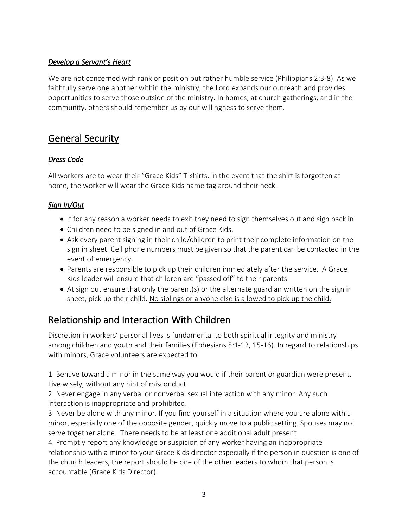### *Develop a Servant's Heart*

We are not concerned with rank or position but rather humble service (Philippians 2:3-8). As we faithfully serve one another within the ministry, the Lord expands our outreach and provides opportunities to serve those outside of the ministry. In homes, at church gatherings, and in the community, others should remember us by our willingness to serve them.

## General Security

### *Dress Code*

All workers are to wear their "Grace Kids" T-shirts. In the event that the shirt is forgotten at home, the worker will wear the Grace Kids name tag around their neck.

### *Sign In/Out*

- If for any reason a worker needs to exit they need to sign themselves out and sign back in.
- Children need to be signed in and out of Grace Kids.
- Ask every parent signing in their child/children to print their complete information on the sign in sheet. Cell phone numbers must be given so that the parent can be contacted in the event of emergency.
- Parents are responsible to pick up their children immediately after the service. A Grace Kids leader will ensure that children are "passed off" to their parents.
- At sign out ensure that only the parent(s) or the alternate guardian written on the sign in sheet, pick up their child. No siblings or anyone else is allowed to pick up the child.

## Relationship and Interaction With Children

Discretion in workers' personal lives is fundamental to both spiritual integrity and ministry among children and youth and their families (Ephesians 5:1-12, 15-16). In regard to relationships with minors, Grace volunteers are expected to:

1. Behave toward a minor in the same way you would if their parent or guardian were present. Live wisely, without any hint of misconduct.

2. Never engage in any verbal or nonverbal sexual interaction with any minor. Any such interaction is inappropriate and prohibited.

3. Never be alone with any minor. If you find yourself in a situation where you are alone with a minor, especially one of the opposite gender, quickly move to a public setting. Spouses may not serve together alone. There needs to be at least one additional adult present.

4. Promptly report any knowledge or suspicion of any worker having an inappropriate relationship with a minor to your Grace Kids director especially if the person in question is one of the church leaders, the report should be one of the other leaders to whom that person is accountable (Grace Kids Director).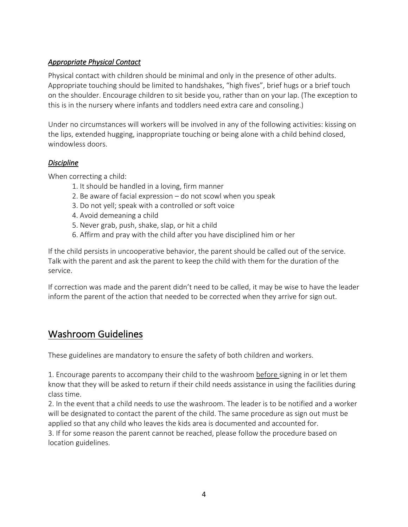### *Appropriate Physical Contact*

Physical contact with children should be minimal and only in the presence of other adults. Appropriate touching should be limited to handshakes, "high fives", brief hugs or a brief touch on the shoulder. Encourage children to sit beside you, rather than on your lap. (The exception to this is in the nursery where infants and toddlers need extra care and consoling.)

Under no circumstances will workers will be involved in any of the following activities: kissing on the lips, extended hugging, inappropriate touching or being alone with a child behind closed, windowless doors.

#### *Discipline*

When correcting a child:

- 1. It should be handled in a loving, firm manner
- 2. Be aware of facial expression do not scowl when you speak
- 3. Do not yell; speak with a controlled or soft voice
- 4. Avoid demeaning a child
- 5. Never grab, push, shake, slap, or hit a child
- 6. Affirm and pray with the child after you have disciplined him or her

If the child persists in uncooperative behavior, the parent should be called out of the service. Talk with the parent and ask the parent to keep the child with them for the duration of the service.

If correction was made and the parent didn't need to be called, it may be wise to have the leader inform the parent of the action that needed to be corrected when they arrive for sign out.

### Washroom Guidelines

These guidelines are mandatory to ensure the safety of both children and workers.

1. Encourage parents to accompany their child to the washroom before signing in or let them know that they will be asked to return if their child needs assistance in using the facilities during class time.

2. In the event that a child needs to use the washroom. The leader is to be notified and a worker will be designated to contact the parent of the child. The same procedure as sign out must be applied so that any child who leaves the kids area is documented and accounted for.

3. If for some reason the parent cannot be reached, please follow the procedure based on location guidelines.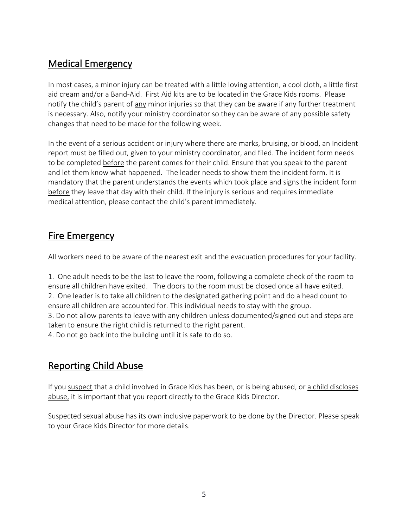# Medical Emergency

In most cases, a minor injury can be treated with a little loving attention, a cool cloth, a little first aid cream and/or a Band-Aid. First Aid kits are to be located in the Grace Kids rooms. Please notify the child's parent of any minor injuries so that they can be aware if any further treatment is necessary. Also, notify your ministry coordinator so they can be aware of any possible safety changes that need to be made for the following week.

In the event of a serious accident or injury where there are marks, bruising, or blood, an Incident report must be filled out, given to your ministry coordinator, and filed. The incident form needs to be completed before the parent comes for their child. Ensure that you speak to the parent and let them know what happened. The leader needs to show them the incident form. It is mandatory that the parent understands the events which took place and signs the incident form before they leave that day with their child. If the injury is serious and requires immediate medical attention, please contact the child's parent immediately.

## Fire Emergency

All workers need to be aware of the nearest exit and the evacuation procedures for your facility.

1. One adult needs to be the last to leave the room, following a complete check of the room to ensure all children have exited. The doors to the room must be closed once all have exited. 2. One leader is to take all children to the designated gathering point and do a head count to ensure all children are accounted for. This individual needs to stay with the group. 3. Do not allow parents to leave with any children unless documented/signed out and steps are taken to ensure the right child is returned to the right parent. 4. Do not go back into the building until it is safe to do so.

## Reporting Child Abuse

If you suspect that a child involved in Grace Kids has been, or is being abused, or a child discloses abuse, it is important that you report directly to the Grace Kids Director.

Suspected sexual abuse has its own inclusive paperwork to be done by the Director. Please speak to your Grace Kids Director for more details.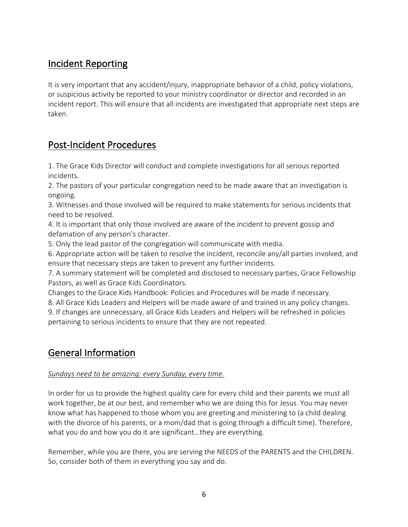# Incident Reporting

It is very important that any accident/injury, inappropriate behavior of a child, policy violations, or suspicious activity be reported to your ministry coordinator or director and recorded in an incident report. This will ensure that all incidents are investigated that appropriate next steps are taken.

### Post-Incident Procedures

1. The Grace Kids Director will conduct and complete investigations for all serious reported incidents.

2. The pastors of your particular congregation need to be made aware that an investigation is ongoing.

3. Witnesses and those involved will be required to make statements for serious incidents that need to be resolved.

4. It is important that only those involved are aware of the incident to prevent gossip and defamation of any person's character.

5. Only the lead pastor of the congregation will communicate with media.

6. Appropriate action will be taken to resolve the incident, reconcile any/all parties involved, and ensure that necessary steps are taken to prevent any further incidents.

7. A summary statement will be completed and disclosed to necessary parties, Grace Fellowship Pastors, as well as Grace Kids Coordinators.

Changes to the Grace Kids Handbook: Policies and Procedures will be made if necessary.

8. All Grace Kids Leaders and Helpers will be made aware of and trained in any policy changes.

9. If changes are unnecessary, all Grace Kids Leaders and Helpers will be refreshed in policies pertaining to serious incidents to ensure that they are not repeated.

## General Information

#### *Sundays need to be amazing: every Sunday, every time.*

In order for us to provide the highest quality care for every child and their parents we must all work together, be at our best, and remember who we are doing this for Jesus. You may never know what has happened to those whom you are greeting and ministering to (a child dealing with the divorce of his parents, or a mom/dad that is going through a difficult time). Therefore, what you do and how you do it are significant…they are everything.

Remember, while you are there, you are serving the NEEDS of the PARENTS and the CHILDREN. So, consider both of them in everything you say and do.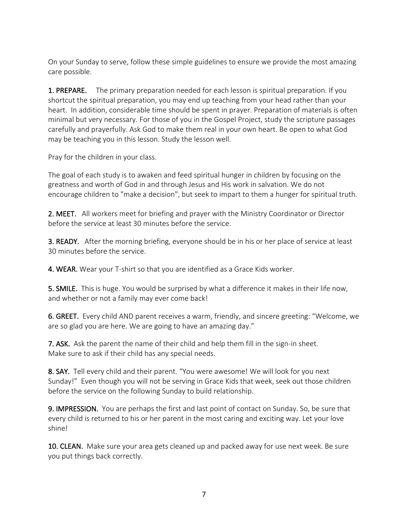On your Sunday to serve, follow these simple guidelines to ensure we provide the most amazing care possible.

**1. PREPARE.** The primary preparation needed for each lesson is spiritual preparation. If you shortcut the spiritual preparation, you may end up teaching from your head rather than your heart. In addition, considerable time should be spent in prayer. Preparation of materials is often minimal but very necessary. For those of you in the Gospel Project, study the scripture passages carefully and prayerfully. Ask God to make them real in your own heart. Be open to what God may be teaching you in this lesson. Study the lesson well.

Pray for the children in your class.

The goal of each study is to awaken and feed spiritual hunger in children by focusing on the greatness and worth of God in and through Jesus and His work in salvation. We do not encourage children to "make a decision", but seek to impart to them a hunger for spiritual truth.

2. MEET. All workers meet for briefing and prayer with the Ministry Coordinator or Director before the service at least 30 minutes before the service.

3. READY. After the morning briefing, everyone should be in his or her place of service at least 30 minutes before the service.

4. WEAR. Wear your T-shirt so that you are identified as a Grace Kids worker.

5. SMILE. This is huge. You would be surprised by what a difference it makes in their life now, and whether or not a family may ever come back!

6. GREET. Every child AND parent receives a warm, friendly, and sincere greeting: "Welcome, we are so glad you are here. We are going to have an amazing day."

7. ASK. Ask the parent the name of their child and help them fill in the sign-in sheet. Make sure to ask if their child has any special needs.

8. SAY. Tell every child and their parent. "You were awesome! We will look for you next Sunday!" Even though you will not be serving in Grace Kids that week, seek out those children before the service on the following Sunday to build relationship.

9. IMPRESSION. You are perhaps the first and last point of contact on Sunday. So, be sure that every child is returned to his or her parent in the most caring and exciting way. Let your love shine!

10. CLEAN. Make sure your area gets cleaned up and packed away for use next week. Be sure you put things back correctly.